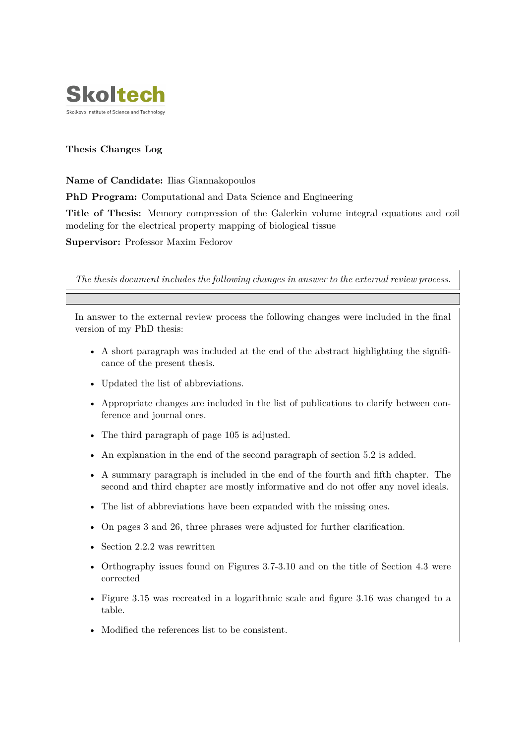

# **Thesis Changes Log**

## **Name of Candidate:** Ilias Giannakopoulos

**PhD Program:** Computational and Data Science and Engineering

**Title of Thesis:** Memory compression of the Galerkin volume integral equations and coil modeling for the electrical property mapping of biological tissue

**Supervisor:** Professor Maxim Fedorov

*The thesis document includes the following changes in answer to the external review process.*

In answer to the external review process the following changes were included in the final version of my PhD thesis:

- A short paragraph was included at the end of the abstract highlighting the significance of the present thesis.
- Updated the list of abbreviations.
- Appropriate changes are included in the list of publications to clarify between conference and journal ones.
- The third paragraph of page 105 is adjusted.
- An explanation in the end of the second paragraph of section 5.2 is added.
- A summary paragraph is included in the end of the fourth and fifth chapter. The second and third chapter are mostly informative and do not offer any novel ideals.
- The list of abbreviations have been expanded with the missing ones.
- On pages 3 and 26, three phrases were adjusted for further clarification.
- Section 2.2.2 was rewritten
- Orthography issues found on Figures 3.7-3.10 and on the title of Section 4.3 were corrected
- Figure 3.15 was recreated in a logarithmic scale and figure 3.16 was changed to a table.
- Modified the references list to be consistent.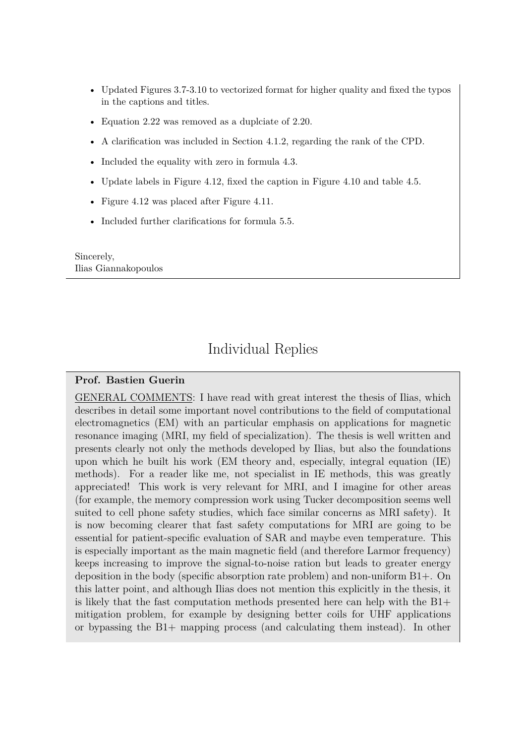- Updated Figures 3.7-3.10 to vectorized format for higher quality and fixed the typos in the captions and titles.
- Equation 2.22 was removed as a duplciate of 2.20.
- A clarification was included in Section 4.1.2, regarding the rank of the CPD.
- Included the equality with zero in formula 4.3.
- Update labels in Figure 4.12, fixed the caption in Figure 4.10 and table 4.5.
- Figure 4.12 was placed after Figure 4.11.
- Included further clarifications for formula 5.5.

Sincerely, Ilias Giannakopoulos

# Individual Replies

## **Prof. Bastien Guerin**

GENERAL COMMENTS: I have read with great interest the thesis of Ilias, which describes in detail some important novel contributions to the field of computational electromagnetics (EM) with an particular emphasis on applications for magnetic resonance imaging (MRI, my field of specialization). The thesis is well written and presents clearly not only the methods developed by Ilias, but also the foundations upon which he built his work (EM theory and, especially, integral equation (IE) methods). For a reader like me, not specialist in IE methods, this was greatly appreciated! This work is very relevant for MRI, and I imagine for other areas (for example, the memory compression work using Tucker decomposition seems well suited to cell phone safety studies, which face similar concerns as MRI safety). It is now becoming clearer that fast safety computations for MRI are going to be essential for patient-specific evaluation of SAR and maybe even temperature. This is especially important as the main magnetic field (and therefore Larmor frequency) keeps increasing to improve the signal-to-noise ration but leads to greater energy deposition in the body (specific absorption rate problem) and non-uniform B1+. On this latter point, and although Ilias does not mention this explicitly in the thesis, it is likely that the fast computation methods presented here can help with the B1+ mitigation problem, for example by designing better coils for UHF applications or bypassing the B1+ mapping process (and calculating them instead). In other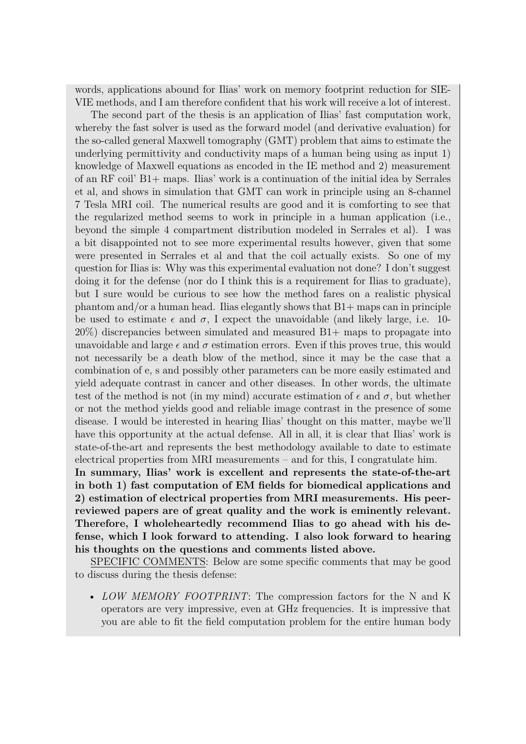words, applications abound for Ilias' work on memory footprint reduction for SIE-VIE methods, and I am therefore confident that his work will receive a lot of interest.

The second part of the thesis is an application of Ilias' fast computation work, whereby the fast solver is used as the forward model (and derivative evaluation) for the so-called general Maxwell tomography (GMT) problem that aims to estimate the underlying permittivity and conductivity maps of a human being using as input 1) knowledge of Maxwell equations as encoded in the IE method and 2) measurement of an RF coil' B1+ maps. Ilias' work is a continuation of the initial idea by Serrales et al, and shows in simulation that GMT can work in principle using an 8-channel 7 Tesla MRI coil. The numerical results are good and it is comforting to see that the regularized method seems to work in principle in a human application (i.e., beyond the simple 4 compartment distribution modeled in Serrales et al). I was a bit disappointed not to see more experimental results however, given that some were presented in Serrales et al and that the coil actually exists. So one of my question for Ilias is: Why was this experimental evaluation not done? I don't suggest doing it for the defense (nor do I think this is a requirement for Ilias to graduate), but I sure would be curious to see how the method fares on a realistic physical phantom and/or a human head. Ilias elegantly shows that  $B1+$  maps can in principle be used to estimate  $\epsilon$  and  $\sigma$ , I expect the unavoidable (and likely large, i.e. 10-20%) discrepancies between simulated and measured B1+ maps to propagate into unavoidable and large  $\epsilon$  and  $\sigma$  estimation errors. Even if this proves true, this would not necessarily be a death blow of the method, since it may be the case that a combination of e, s and possibly other parameters can be more easily estimated and yield adequate contrast in cancer and other diseases. In other words, the ultimate test of the method is not (in my mind) accurate estimation of  $\epsilon$  and  $\sigma$ , but whether or not the method yields good and reliable image contrast in the presence of some disease. I would be interested in hearing Ilias' thought on this matter, maybe we'll have this opportunity at the actual defense. All in all, it is clear that Ilias' work is state-of-the-art and represents the best methodology available to date to estimate electrical properties from MRI measurements – and for this, I congratulate him. **In summary, Ilias' work is excellent and represents the state-of-the-art in both 1) fast computation of EM fields for biomedical applications and 2) estimation of electrical properties from MRI measurements. His peer-**

**reviewed papers are of great quality and the work is eminently relevant. Therefore, I wholeheartedly recommend Ilias to go ahead with his defense, which I look forward to attending. I also look forward to hearing his thoughts on the questions and comments listed above.**

SPECIFIC COMMENTS: Below are some specific comments that may be good to discuss during the thesis defense:

• *LOW MEMORY FOOTPRINT*: The compression factors for the N and K operators are very impressive, even at GHz frequencies. It is impressive that you are able to fit the field computation problem for the entire human body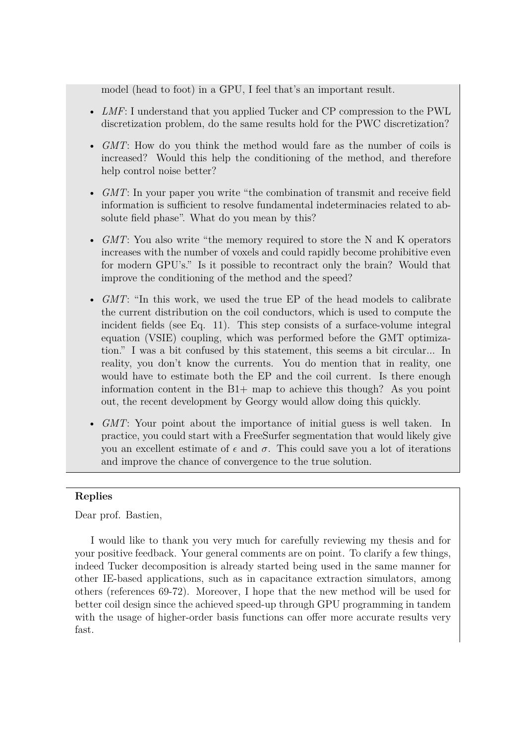model (head to foot) in a GPU, I feel that's an important result.

- *LMF*: I understand that you applied Tucker and CP compression to the PWL discretization problem, do the same results hold for the PWC discretization?
- *GMT*: How do you think the method would fare as the number of coils is increased? Would this help the conditioning of the method, and therefore help control noise better?
- *GMT*: In your paper you write "the combination of transmit and receive field information is sufficient to resolve fundamental indeterminacies related to absolute field phase". What do you mean by this?
- *GMT*: You also write "the memory required to store the N and K operators increases with the number of voxels and could rapidly become prohibitive even for modern GPU's." Is it possible to recontract only the brain? Would that improve the conditioning of the method and the speed?
- *GMT*: "In this work, we used the true EP of the head models to calibrate the current distribution on the coil conductors, which is used to compute the incident fields (see Eq. 11). This step consists of a surface-volume integral equation (VSIE) coupling, which was performed before the GMT optimization." I was a bit confused by this statement, this seems a bit circular... In reality, you don't know the currents. You do mention that in reality, one would have to estimate both the EP and the coil current. Is there enough information content in the  $B1+$  map to achieve this though? As you point out, the recent development by Georgy would allow doing this quickly.
- *GMT*: Your point about the importance of initial guess is well taken. In practice, you could start with a FreeSurfer segmentation that would likely give you an excellent estimate of  $\epsilon$  and  $\sigma$ . This could save you a lot of iterations and improve the chance of convergence to the true solution.

## **Replies**

Dear prof. Bastien,

I would like to thank you very much for carefully reviewing my thesis and for your positive feedback. Your general comments are on point. To clarify a few things, indeed Tucker decomposition is already started being used in the same manner for other IE-based applications, such as in capacitance extraction simulators, among others (references 69-72). Moreover, I hope that the new method will be used for better coil design since the achieved speed-up through GPU programming in tandem with the usage of higher-order basis functions can offer more accurate results very fast.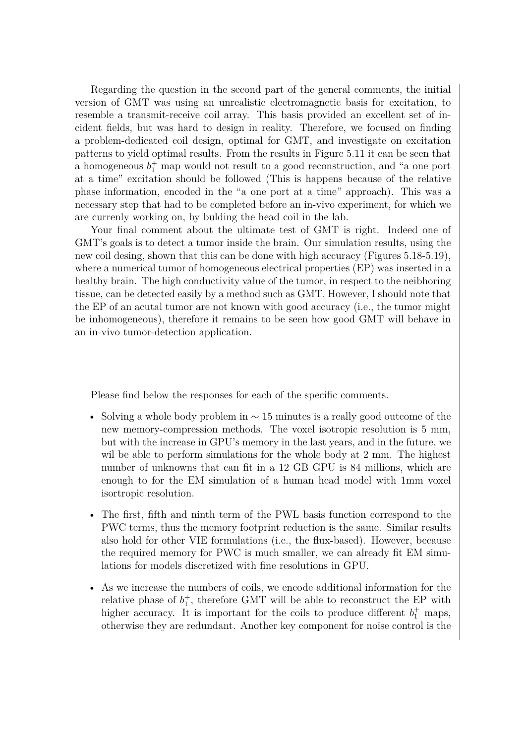Regarding the question in the second part of the general comments, the initial version of GMT was using an unrealistic electromagnetic basis for excitation, to resemble a transmit-receive coil array. This basis provided an excellent set of incident fields, but was hard to design in reality. Therefore, we focused on finding a problem-dedicated coil design, optimal for GMT, and investigate on excitation patterns to yield optimal results. From the results in Figure 5.11 it can be seen that a homogeneous  $b_1^+$  map would not result to a good reconstruction, and "a one port at a time" excitation should be followed (This is happens because of the relative phase information, encoded in the "a one port at a time" approach). This was a necessary step that had to be completed before an in-vivo experiment, for which we are currenly working on, by bulding the head coil in the lab.

Your final comment about the ultimate test of GMT is right. Indeed one of GMT's goals is to detect a tumor inside the brain. Our simulation results, using the new coil desing, shown that this can be done with high accuracy (Figures 5.18-5.19), where a numerical tumor of homogeneous electrical properties (EP) was inserted in a healthy brain. The high conductivity value of the tumor, in respect to the neibhoring tissue, can be detected easily by a method such as GMT. However, I should note that the EP of an acutal tumor are not known with good accuracy (i.e., the tumor might be inhomogeneous), therefore it remains to be seen how good GMT will behave in an in-vivo tumor-detection application.

Please find below the responses for each of the specific comments.

- Solving a whole body problem in *∼* 15 minutes is a really good outcome of the new memory-compression methods. The voxel isotropic resolution is 5 mm, but with the increase in GPU's memory in the last years, and in the future, we wil be able to perform simulations for the whole body at 2 mm. The highest number of unknowns that can fit in a 12 GB GPU is 84 millions, which are enough to for the EM simulation of a human head model with 1mm voxel isortropic resolution.
- The first, fifth and ninth term of the PWL basis function correspond to the PWC terms, thus the memory footprint reduction is the same. Similar results also hold for other VIE formulations (i.e., the flux-based). However, because the required memory for PWC is much smaller, we can already fit EM simulations for models discretized with fine resolutions in GPU.
- As we increase the numbers of coils, we encode additional information for the relative phase of  $b_1^+$ , therefore GMT will be able to reconstruct the EP with higher accuracy. It is important for the coils to produce different  $b_1^+$  maps, otherwise they are redundant. Another key component for noise control is the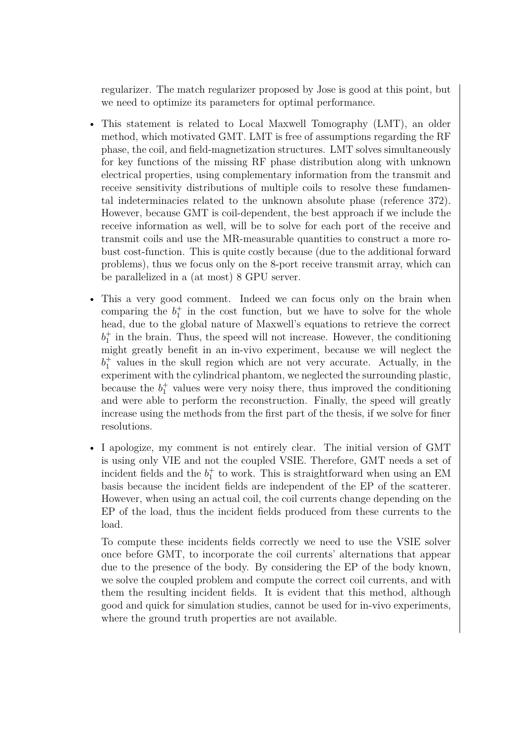regularizer. The match regularizer proposed by Jose is good at this point, but we need to optimize its parameters for optimal performance.

- This statement is related to Local Maxwell Tomography (LMT), an older method, which motivated GMT. LMT is free of assumptions regarding the RF phase, the coil, and field-magnetization structures. LMT solves simultaneously for key functions of the missing RF phase distribution along with unknown electrical properties, using complementary information from the transmit and receive sensitivity distributions of multiple coils to resolve these fundamental indeterminacies related to the unknown absolute phase (reference 372). However, because GMT is coil-dependent, the best approach if we include the receive information as well, will be to solve for each port of the receive and transmit coils and use the MR-measurable quantities to construct a more robust cost-function. This is quite costly because (due to the additional forward problems), thus we focus only on the 8-port receive transmit array, which can be parallelized in a (at most) 8 GPU server.
- This a very good comment. Indeed we can focus only on the brain when comparing the  $b_1^+$  in the cost function, but we have to solve for the whole head, due to the global nature of Maxwell's equations to retrieve the correct  $b_1^+$  in the brain. Thus, the speed will not increase. However, the conditioning might greatly benefit in an in-vivo experiment, because we will neglect the  $b_1^+$  values in the skull region which are not very accurate. Actually, in the experiment with the cylindrical phantom, we neglected the surrounding plastic, because the  $b_1^+$  values were very noisy there, thus improved the conditioning and were able to perform the reconstruction. Finally, the speed will greatly increase using the methods from the first part of the thesis, if we solve for finer resolutions.
- I apologize, my comment is not entirely clear. The initial version of GMT is using only VIE and not the coupled VSIE. Therefore, GMT needs a set of incident fields and the  $b_1^+$  to work. This is straightforward when using an EM basis because the incident fields are independent of the EP of the scatterer. However, when using an actual coil, the coil currents change depending on the EP of the load, thus the incident fields produced from these currents to the load.

To compute these incidents fields correctly we need to use the VSIE solver once before GMT, to incorporate the coil currents' alternations that appear due to the presence of the body. By considering the EP of the body known, we solve the coupled problem and compute the correct coil currents, and with them the resulting incident fields. It is evident that this method, although good and quick for simulation studies, cannot be used for in-vivo experiments, where the ground truth properties are not available.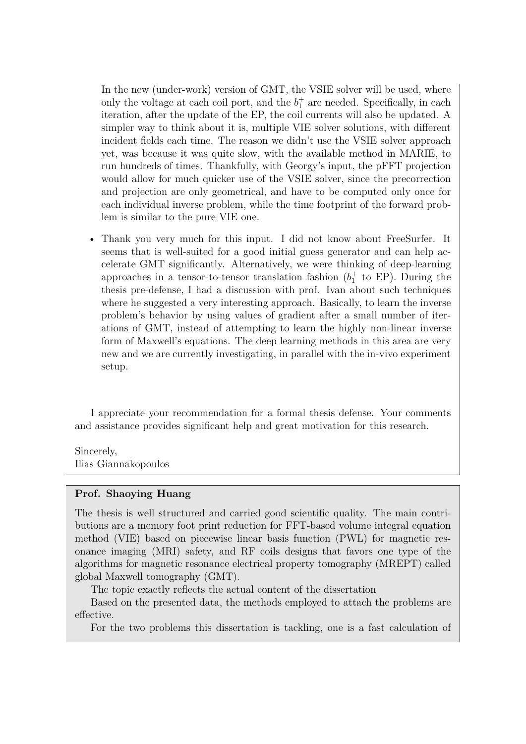In the new (under-work) version of GMT, the VSIE solver will be used, where only the voltage at each coil port, and the  $b_1^+$  are needed. Specifically, in each iteration, after the update of the EP, the coil currents will also be updated. A simpler way to think about it is, multiple VIE solver solutions, with different incident fields each time. The reason we didn't use the VSIE solver approach yet, was because it was quite slow, with the available method in MARIE, to run hundreds of times. Thankfully, with Georgy's input, the pFFT projection would allow for much quicker use of the VSIE solver, since the precorrection and projection are only geometrical, and have to be computed only once for each individual inverse problem, while the time footprint of the forward problem is similar to the pure VIE one.

• Thank you very much for this input. I did not know about FreeSurfer. It seems that is well-suited for a good initial guess generator and can help accelerate GMT significantly. Alternatively, we were thinking of deep-learning approaches in a tensor-to-tensor translation fashion  $(b<sub>1</sub><sup>+</sup>$  to EP). During the thesis pre-defense, I had a discussion with prof. Ivan about such techniques where he suggested a very interesting approach. Basically, to learn the inverse problem's behavior by using values of gradient after a small number of iterations of GMT, instead of attempting to learn the highly non-linear inverse form of Maxwell's equations. The deep learning methods in this area are very new and we are currently investigating, in parallel with the in-vivo experiment setup.

I appreciate your recommendation for a formal thesis defense. Your comments and assistance provides significant help and great motivation for this research.

Sincerely, Ilias Giannakopoulos

## **Prof. Shaoying Huang**

The thesis is well structured and carried good scientific quality. The main contributions are a memory foot print reduction for FFT-based volume integral equation method (VIE) based on piecewise linear basis function (PWL) for magnetic resonance imaging (MRI) safety, and RF coils designs that favors one type of the algorithms for magnetic resonance electrical property tomography (MREPT) called global Maxwell tomography (GMT).

The topic exactly reflects the actual content of the dissertation

Based on the presented data, the methods employed to attach the problems are effective.

For the two problems this dissertation is tackling, one is a fast calculation of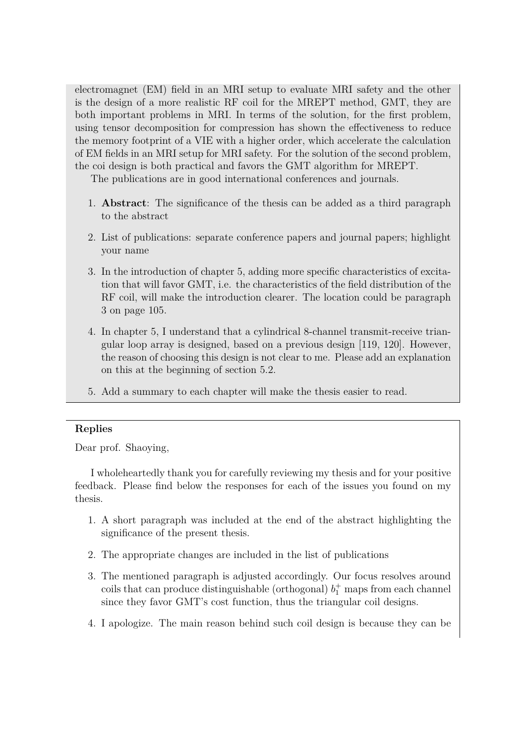electromagnet (EM) field in an MRI setup to evaluate MRI safety and the other is the design of a more realistic RF coil for the MREPT method, GMT, they are both important problems in MRI. In terms of the solution, for the first problem, using tensor decomposition for compression has shown the effectiveness to reduce the memory footprint of a VIE with a higher order, which accelerate the calculation of EM fields in an MRI setup for MRI safety. For the solution of the second problem, the coi design is both practical and favors the GMT algorithm for MREPT.

The publications are in good international conferences and journals.

- 1. **Abstract**: The significance of the thesis can be added as a third paragraph to the abstract
- 2. List of publications: separate conference papers and journal papers; highlight your name
- 3. In the introduction of chapter 5, adding more specific characteristics of excitation that will favor GMT, i.e. the characteristics of the field distribution of the RF coil, will make the introduction clearer. The location could be paragraph 3 on page 105.
- 4. In chapter 5, I understand that a cylindrical 8-channel transmit-receive triangular loop array is designed, based on a previous design [119, 120]. However, the reason of choosing this design is not clear to me. Please add an explanation on this at the beginning of section 5.2.
- 5. Add a summary to each chapter will make the thesis easier to read.

# **Replies**

Dear prof. Shaoying,

I wholeheartedly thank you for carefully reviewing my thesis and for your positive feedback. Please find below the responses for each of the issues you found on my thesis.

- 1. A short paragraph was included at the end of the abstract highlighting the significance of the present thesis.
- 2. The appropriate changes are included in the list of publications
- 3. The mentioned paragraph is adjusted accordingly. Our focus resolves around coils that can produce distinguishable (orthogonal)  $b_1^+$  maps from each channel since they favor GMT's cost function, thus the triangular coil designs.
- 4. I apologize. The main reason behind such coil design is because they can be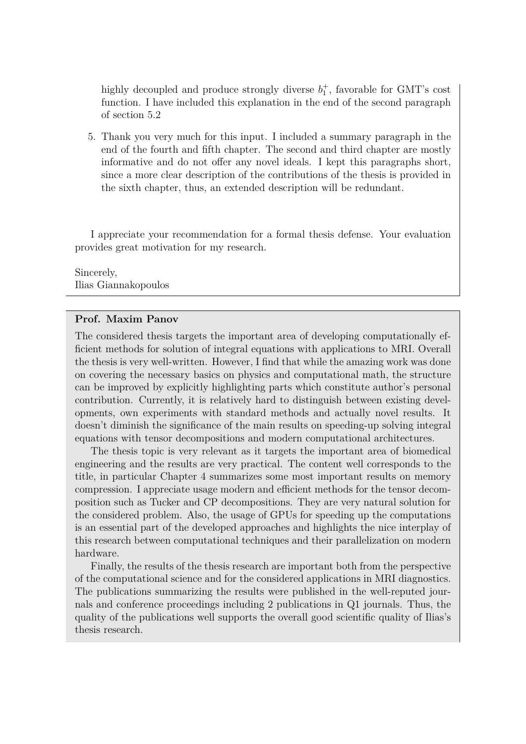highly decoupled and produce strongly diverse  $b_1^+$ , favorable for GMT's cost function. I have included this explanation in the end of the second paragraph of section 5.2

5. Thank you very much for this input. I included a summary paragraph in the end of the fourth and fifth chapter. The second and third chapter are mostly informative and do not offer any novel ideals. I kept this paragraphs short, since a more clear description of the contributions of the thesis is provided in the sixth chapter, thus, an extended description will be redundant.

I appreciate your recommendation for a formal thesis defense. Your evaluation provides great motivation for my research.

Sincerely, Ilias Giannakopoulos

#### **Prof. Maxim Panov**

The considered thesis targets the important area of developing computationally efficient methods for solution of integral equations with applications to MRI. Overall the thesis is very well-written. However, I find that while the amazing work was done on covering the necessary basics on physics and computational math, the structure can be improved by explicitly highlighting parts which constitute author's personal contribution. Currently, it is relatively hard to distinguish between existing developments, own experiments with standard methods and actually novel results. It doesn't diminish the significance of the main results on speeding-up solving integral equations with tensor decompositions and modern computational architectures.

The thesis topic is very relevant as it targets the important area of biomedical engineering and the results are very practical. The content well corresponds to the title, in particular Chapter 4 summarizes some most important results on memory compression. I appreciate usage modern and efficient methods for the tensor decomposition such as Tucker and CP decompositions. They are very natural solution for the considered problem. Also, the usage of GPUs for speeding up the computations is an essential part of the developed approaches and highlights the nice interplay of this research between computational techniques and their parallelization on modern hardware.

Finally, the results of the thesis research are important both from the perspective of the computational science and for the considered applications in MRI diagnostics. The publications summarizing the results were published in the well-reputed journals and conference proceedings including 2 publications in Q1 journals. Thus, the quality of the publications well supports the overall good scientific quality of Ilias's thesis research.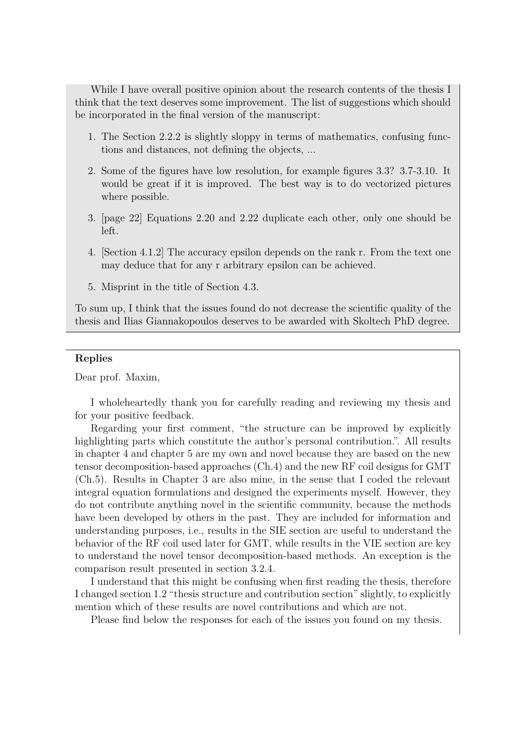While I have overall positive opinion about the research contents of the thesis I think that the text deserves some improvement. The list of suggestions which should be incorporated in the final version of the manuscript:

- 1. The Section 2.2.2 is slightly sloppy in terms of mathematics, confusing functions and distances, not defining the objects, ...
- 2. Some of the figures have low resolution, for example figures 3.3? 3.7-3.10. It would be great if it is improved. The best way is to do vectorized pictures where possible.
- 3. [page 22] Equations 2.20 and 2.22 duplicate each other, only one should be left.
- 4. [Section 4.1.2] The accuracy epsilon depends on the rank r. From the text one may deduce that for any r arbitrary epsilon can be achieved.
- 5. Misprint in the title of Section 4.3.

To sum up, I think that the issues found do not decrease the scientific quality of the thesis and Ilias Giannakopoulos deserves to be awarded with Skoltech PhD degree.

#### **Replies**

Dear prof. Maxim,

I wholeheartedly thank you for carefully reading and reviewing my thesis and for your positive feedback.

Regarding your first comment, "the structure can be improved by explicitly highlighting parts which constitute the author's personal contribution.". All results in chapter 4 and chapter 5 are my own and novel because they are based on the new tensor decomposition-based approaches (Ch.4) and the new RF coil designs for GMT (Ch.5). Results in Chapter 3 are also mine, in the sense that I coded the relevant integral equation formulations and designed the experiments myself. However, they do not contribute anything novel in the scientific community, because the methods have been developed by others in the past. They are included for information and understanding purposes, i.e., results in the SIE section are useful to understand the behavior of the RF coil used later for GMT, while results in the VIE section are key to understand the novel tensor decomposition-based methods. An exception is the comparison result presented in section 3.2.4.

I understand that this might be confusing when first reading the thesis, therefore I changed section 1.2 "thesis structure and contribution section" slightly, to explicitly mention which of these results are novel contributions and which are not.

Please find below the responses for each of the issues you found on my thesis.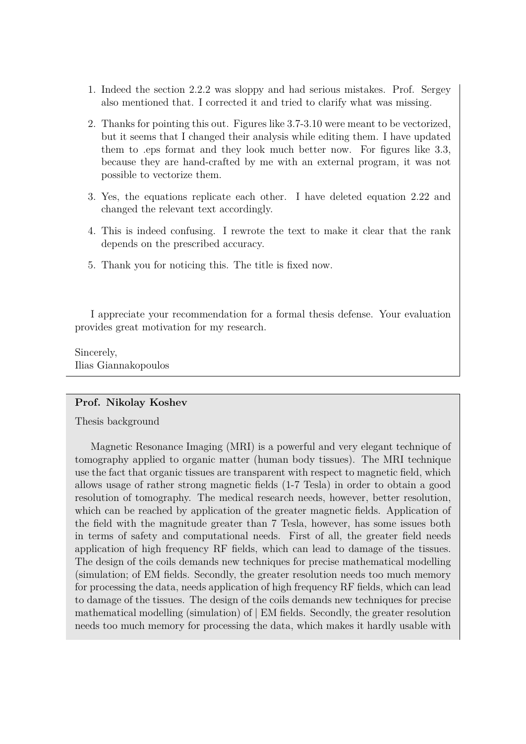- 1. Indeed the section 2.2.2 was sloppy and had serious mistakes. Prof. Sergey also mentioned that. I corrected it and tried to clarify what was missing.
- 2. Thanks for pointing this out. Figures like 3.7-3.10 were meant to be vectorized, but it seems that I changed their analysis while editing them. I have updated them to .eps format and they look much better now. For figures like 3.3, because they are hand-crafted by me with an external program, it was not possible to vectorize them.
- 3. Yes, the equations replicate each other. I have deleted equation 2.22 and changed the relevant text accordingly.
- 4. This is indeed confusing. I rewrote the text to make it clear that the rank depends on the prescribed accuracy.
- 5. Thank you for noticing this. The title is fixed now.

I appreciate your recommendation for a formal thesis defense. Your evaluation provides great motivation for my research.

Sincerely, Ilias Giannakopoulos

## **Prof. Nikolay Koshev**

Thesis background

Magnetic Resonance Imaging (MRI) is a powerful and very elegant technique of tomography applied to organic matter (human body tissues). The MRI technique use the fact that organic tissues are transparent with respect to magnetic field, which allows usage of rather strong magnetic fields (1-7 Tesla) in order to obtain a good resolution of tomography. The medical research needs, however, better resolution, which can be reached by application of the greater magnetic fields. Application of the field with the magnitude greater than 7 Tesla, however, has some issues both in terms of safety and computational needs. First of all, the greater field needs application of high frequency RF fields, which can lead to damage of the tissues. The design of the coils demands new techniques for precise mathematical modelling (simulation; of EM fields. Secondly, the greater resolution needs too much memory for processing the data, needs application of high frequency RF fields, which can lead to damage of the tissues. The design of the coils demands new techniques for precise mathematical modelling (simulation) of | EM fields. Secondly, the greater resolution needs too much memory for processing the data, which makes it hardly usable with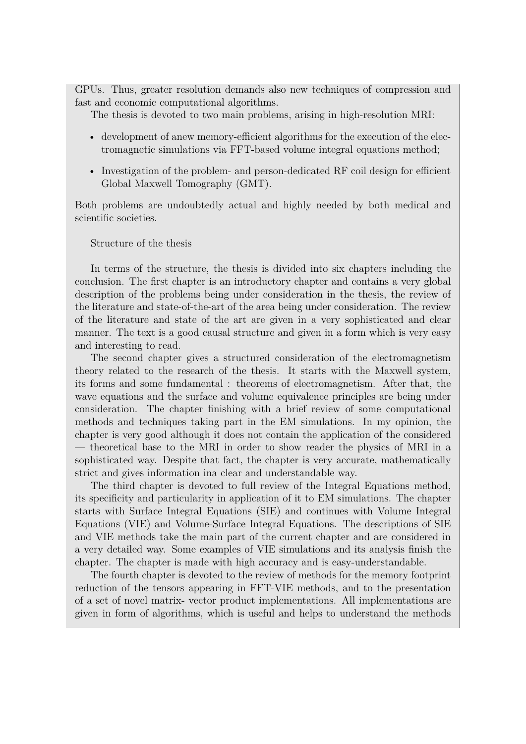GPUs. Thus, greater resolution demands also new techniques of compression and fast and economic computational algorithms.

The thesis is devoted to two main problems, arising in high-resolution MRI:

- development of anew memory-efficient algorithms for the execution of the electromagnetic simulations via FFT-based volume integral equations method;
- Investigation of the problem- and person-dedicated RF coil design for efficient Global Maxwell Tomography (GMT).

Both problems are undoubtedly actual and highly needed by both medical and scientific societies.

Structure of the thesis

In terms of the structure, the thesis is divided into six chapters including the conclusion. The first chapter is an introductory chapter and contains a very global description of the problems being under consideration in the thesis, the review of the literature and state-of-the-art of the area being under consideration. The review of the literature and state of the art are given in a very sophisticated and clear manner. The text is a good causal structure and given in a form which is very easy and interesting to read.

The second chapter gives a structured consideration of the electromagnetism theory related to the research of the thesis. It starts with the Maxwell system, its forms and some fundamental : theorems of electromagnetism. After that, the wave equations and the surface and volume equivalence principles are being under consideration. The chapter finishing with a brief review of some computational methods and techniques taking part in the EM simulations. In my opinion, the chapter is very good although it does not contain the application of the considered — theoretical base to the MRI in order to show reader the physics of MRI in a sophisticated way. Despite that fact, the chapter is very accurate, mathematically strict and gives information ina clear and understandable way.

The third chapter is devoted to full review of the Integral Equations method, its specificity and particularity in application of it to EM simulations. The chapter starts with Surface Integral Equations (SIE) and continues with Volume Integral Equations (VIE) and Volume-Surface Integral Equations. The descriptions of SIE and VIE methods take the main part of the current chapter and are considered in a very detailed way. Some examples of VIE simulations and its analysis finish the chapter. The chapter is made with high accuracy and is easy-understandable.

The fourth chapter is devoted to the review of methods for the memory footprint reduction of the tensors appearing in FFT-VIE methods, and to the presentation of a set of novel matrix- vector product implementations. All implementations are given in form of algorithms, which is useful and helps to understand the methods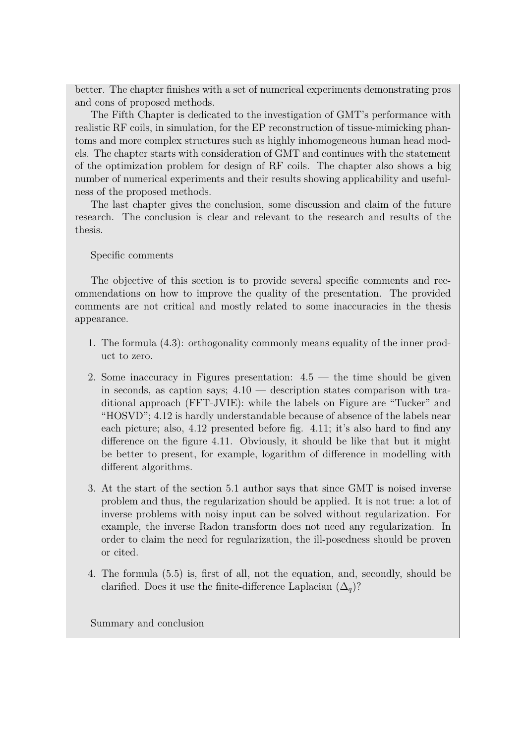better. The chapter finishes with a set of numerical experiments demonstrating pros and cons of proposed methods.

The Fifth Chapter is dedicated to the investigation of GMT's performance with realistic RF coils, in simulation, for the EP reconstruction of tissue-mimicking phantoms and more complex structures such as highly inhomogeneous human head models. The chapter starts with consideration of GMT and continues with the statement of the optimization problem for design of RF coils. The chapter also shows a big number of numerical experiments and their results showing applicability and usefulness of the proposed methods.

The last chapter gives the conclusion, some discussion and claim of the future research. The conclusion is clear and relevant to the research and results of the thesis.

### Specific comments

The objective of this section is to provide several specific comments and recommendations on how to improve the quality of the presentation. The provided comments are not critical and mostly related to some inaccuracies in the thesis appearance.

- 1. The formula (4.3): orthogonality commonly means equality of the inner product to zero.
- 2. Some inaccuracy in Figures presentation:  $4.5$  the time should be given in seconds, as caption says; 4.10 — description states comparison with traditional approach (FFT-JVIE): while the labels on Figure are "Tucker" and "HOSVD"; 4.12 is hardly understandable because of absence of the labels near each picture; also, 4.12 presented before fig. 4.11; it's also hard to find any difference on the figure 4.11. Obviously, it should be like that but it might be better to present, for example, logarithm of difference in modelling with different algorithms.
- 3. At the start of the section 5.1 author says that since GMT is noised inverse problem and thus, the regularization should be applied. It is not true: a lot of inverse problems with noisy input can be solved without regularization. For example, the inverse Radon transform does not need any regularization. In order to claim the need for regularization, the ill-posedness should be proven or cited.
- 4. The formula (5.5) is, first of all, not the equation, and, secondly, should be clarified. Does it use the finite-difference Laplacian  $(\Delta_q)$ ?

Summary and conclusion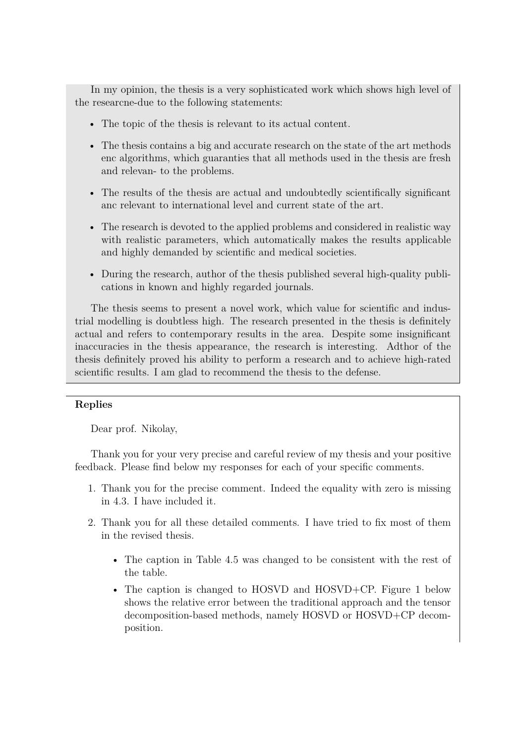In my opinion, the thesis is a very sophisticated work which shows high level of the researcne-due to the following statements:

- The topic of the thesis is relevant to its actual content.
- The thesis contains a big and accurate research on the state of the art methods enc algorithms, which guaranties that all methods used in the thesis are fresh and relevan- to the problems.
- The results of the thesis are actual and undoubtedly scientifically significant anc relevant to international level and current state of the art.
- The research is devoted to the applied problems and considered in realistic way with realistic parameters, which automatically makes the results applicable and highly demanded by scientific and medical societies.
- During the research, author of the thesis published several high-quality publications in known and highly regarded journals.

The thesis seems to present a novel work, which value for scientific and industrial modelling is doubtless high. The research presented in the thesis is definitely actual and refers to contemporary results in the area. Despite some insignificant inaccuracies in the thesis appearance, the research is interesting. Adthor of the thesis definitely proved his ability to perform a research and to achieve high-rated scientific results. I am glad to recommend the thesis to the defense.

# **Replies**

Dear prof. Nikolay,

Thank you for your very precise and careful review of my thesis and your positive feedback. Please find below my responses for each of your specific comments.

- 1. Thank you for the precise comment. Indeed the equality with zero is missing in 4.3. I have included it.
- 2. Thank you for all these detailed comments. I have tried to fix most of them in the revised thesis.
	- The caption in Table 4.5 was changed to be consistent with the rest of the table.
	- The caption is changed to HOSVD and HOSVD+CP. Figure 1 below shows the relative error between the traditional approach and the tensor decomposition-based methods, namely HOSVD or HOSVD+CP decomposition.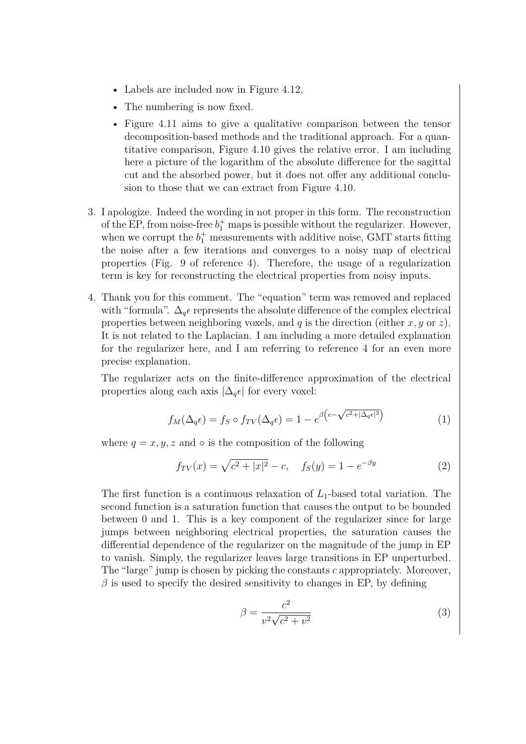- Labels are included now in Figure 4.12.
- The numbering is now fixed.
- Figure 4.11 aims to give a qualitative comparison between the tensor decomposition-based methods and the traditional approach. For a quantitative comparison, Figure 4.10 gives the relative error. I am including here a picture of the logarithm of the absolute difference for the sagittal cut and the absorbed power, but it does not offer any additional conclusion to those that we can extract from Figure 4.10.
- 3. I apologize. Indeed the wording in not proper in this form. The reconstruction of the EP, from noise-free  $b_1^+$  maps is possible without the regularizer. However, when we corrupt the  $b_1^+$  measurements with additive noise, GMT starts fitting the noise after a few iterations and converges to a noisy map of electrical properties (Fig. 9 of reference 4). Therefore, the usage of a regularization term is key for reconstructing the electrical properties from noisy inputs.
- 4. Thank you for this comment. The "equation" term was removed and replaced with "formula".  $\Delta_q \epsilon$  represents the absolute difference of the complex electrical properties between neighboring voxels, and *q* is the direction (either *x, y* or *z*). It is not related to the Laplacian. I am including a more detailed explanation for the regularizer here, and I am referring to reference 4 for an even more precise explanation.

The regularizer acts on the finite-difference approximation of the electrical properties along each axis  $|\Delta_q \epsilon|$  for every voxel:

$$
f_M(\Delta_q \epsilon) = f_S \circ f_{TV}(\Delta_q \epsilon) = 1 - e^{\beta \left(c - \sqrt{c^2 + |\Delta_q \epsilon|^2}\right)} \tag{1}
$$

where  $q = x, y, z$  and  $\circ$  is the composition of the following

$$
f_{TV}(x) = \sqrt{c^2 + |x|^2} - c, \quad f_S(y) = 1 - e^{-\beta y} \tag{2}
$$

The first function is a continuous relaxation of  $L_1$ -based total variation. The second function is a saturation function that causes the output to be bounded between 0 and 1. This is a key component of the regularizer since for large jumps between neighboring electrical properties, the saturation causes the differential dependence of the regularizer on the magnitude of the jump in EP to vanish. Simply, the regularizer leaves large transitions in EP unperturbed. The "large" jump is chosen by picking the constants *c* appropriately. Moreover,  $\beta$  is used to specify the desired sensitivity to changes in EP, by defining

$$
\beta = \frac{c^2}{v^2 \sqrt{c^2 + v^2}}\tag{3}
$$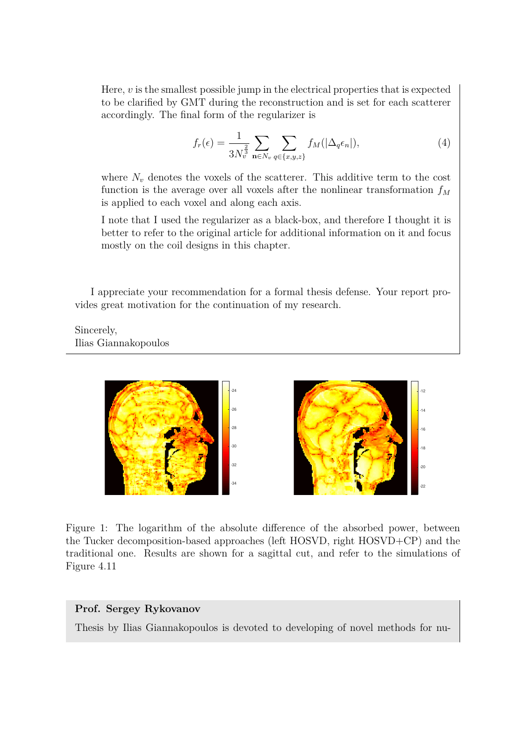Here, *v* is the smallest possible jump in the electrical properties that is expected to be clarified by GMT during the reconstruction and is set for each scatterer accordingly. The final form of the regularizer is

$$
f_r(\epsilon) = \frac{1}{3N_v^{\frac{2}{3}}} \sum_{\mathbf{n} \in N_v} \sum_{q \in \{x, y, z\}} f_M(|\Delta_q \epsilon_n|), \tag{4}
$$

where  $N_v$  denotes the voxels of the scatterer. This additive term to the cost function is the average over all voxels after the nonlinear transformation *f<sup>M</sup>* is applied to each voxel and along each axis.

I note that I used the regularizer as a black-box, and therefore I thought it is better to refer to the original article for additional information on it and focus mostly on the coil designs in this chapter.

I appreciate your recommendation for a formal thesis defense. Your report provides great motivation for the continuation of my research.

Sincerely, Ilias Giannakopoulos



Figure 1: The logarithm of the absolute difference of the absorbed power, between the Tucker decomposition-based approaches (left HOSVD, right HOSVD+CP) and the traditional one. Results are shown for a sagittal cut, and refer to the simulations of Figure 4.11

## **Prof. Sergey Rykovanov**

Thesis by Ilias Giannakopoulos is devoted to developing of novel methods for nu-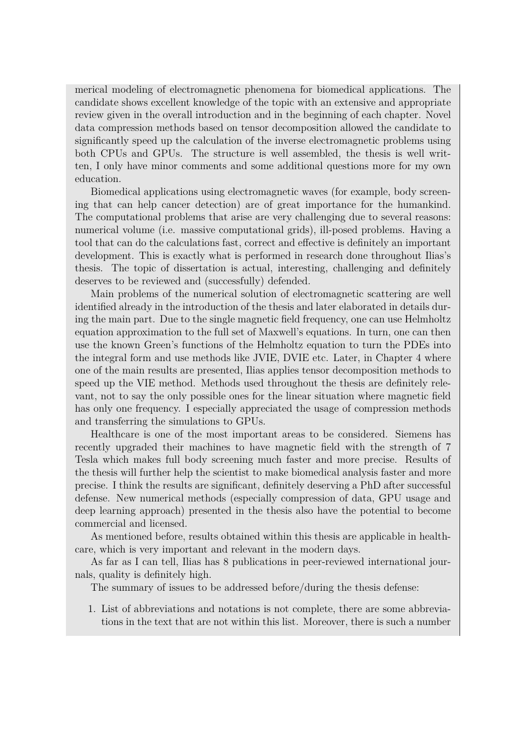merical modeling of electromagnetic phenomena for biomedical applications. The candidate shows excellent knowledge of the topic with an extensive and appropriate review given in the overall introduction and in the beginning of each chapter. Novel data compression methods based on tensor decomposition allowed the candidate to significantly speed up the calculation of the inverse electromagnetic problems using both CPUs and GPUs. The structure is well assembled, the thesis is well written, I only have minor comments and some additional questions more for my own education.

Biomedical applications using electromagnetic waves (for example, body screening that can help cancer detection) are of great importance for the humankind. The computational problems that arise are very challenging due to several reasons: numerical volume (i.e. massive computational grids), ill-posed problems. Having a tool that can do the calculations fast, correct and effective is definitely an important development. This is exactly what is performed in research done throughout Ilias's thesis. The topic of dissertation is actual, interesting, challenging and definitely deserves to be reviewed and (successfully) defended.

Main problems of the numerical solution of electromagnetic scattering are well identified already in the introduction of the thesis and later elaborated in details during the main part. Due to the single magnetic field frequency, one can use Helmholtz equation approximation to the full set of Maxwell's equations. In turn, one can then use the known Green's functions of the Helmholtz equation to turn the PDEs into the integral form and use methods like JVIE, DVIE etc. Later, in Chapter 4 where one of the main results are presented, Ilias applies tensor decomposition methods to speed up the VIE method. Methods used throughout the thesis are definitely relevant, not to say the only possible ones for the linear situation where magnetic field has only one frequency. I especially appreciated the usage of compression methods and transferring the simulations to GPUs.

Healthcare is one of the most important areas to be considered. Siemens has recently upgraded their machines to have magnetic field with the strength of 7 Tesla which makes full body screening much faster and more precise. Results of the thesis will further help the scientist to make biomedical analysis faster and more precise. I think the results are significant, definitely deserving a PhD after successful defense. New numerical methods (especially compression of data, GPU usage and deep learning approach) presented in the thesis also have the potential to become commercial and licensed.

As mentioned before, results obtained within this thesis are applicable in healthcare, which is very important and relevant in the modern days.

As far as I can tell, Ilias has 8 publications in peer-reviewed international journals, quality is definitely high.

The summary of issues to be addressed before/during the thesis defense:

1. List of abbreviations and notations is not complete, there are some abbreviations in the text that are not within this list. Moreover, there is such a number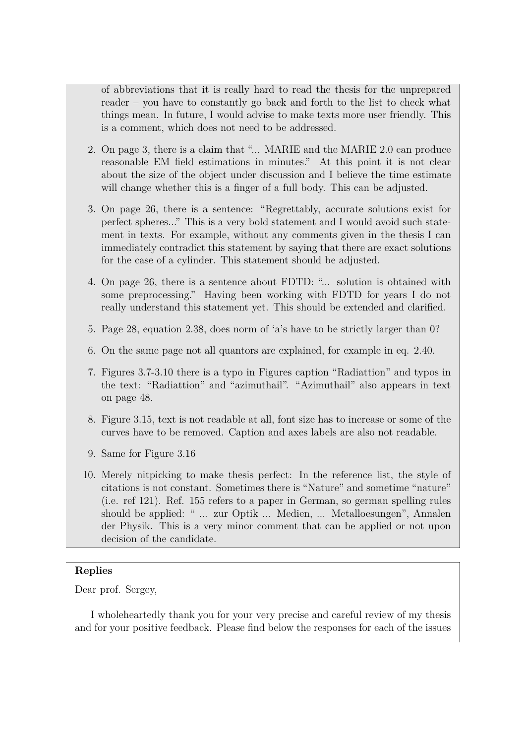of abbreviations that it is really hard to read the thesis for the unprepared reader – you have to constantly go back and forth to the list to check what things mean. In future, I would advise to make texts more user friendly. This is a comment, which does not need to be addressed.

- 2. On page 3, there is a claim that "... MARIE and the MARIE 2.0 can produce reasonable EM field estimations in minutes." At this point it is not clear about the size of the object under discussion and I believe the time estimate will change whether this is a finger of a full body. This can be adjusted.
- 3. On page 26, there is a sentence: "Regrettably, accurate solutions exist for perfect spheres..." This is a very bold statement and I would avoid such statement in texts. For example, without any comments given in the thesis I can immediately contradict this statement by saying that there are exact solutions for the case of a cylinder. This statement should be adjusted.
- 4. On page 26, there is a sentence about FDTD: "... solution is obtained with some preprocessing." Having been working with FDTD for years I do not really understand this statement yet. This should be extended and clarified.
- 5. Page 28, equation 2.38, does norm of 'a's have to be strictly larger than 0?
- 6. On the same page not all quantors are explained, for example in eq. 2.40.
- 7. Figures 3.7-3.10 there is a typo in Figures caption "Radiattion" and typos in the text: "Radiattion" and "azimuthail". "Azimuthail" also appears in text on page 48.
- 8. Figure 3.15, text is not readable at all, font size has to increase or some of the curves have to be removed. Caption and axes labels are also not readable.
- 9. Same for Figure 3.16
- 10. Merely nitpicking to make thesis perfect: In the reference list, the style of citations is not constant. Sometimes there is "Nature" and sometime "nature" (i.e. ref 121). Ref. 155 refers to a paper in German, so german spelling rules should be applied: " ... zur Optik ... Medien, ... Metalloesungen", Annalen der Physik. This is a very minor comment that can be applied or not upon decision of the candidate.

## **Replies**

Dear prof. Sergey,

I wholeheartedly thank you for your very precise and careful review of my thesis and for your positive feedback. Please find below the responses for each of the issues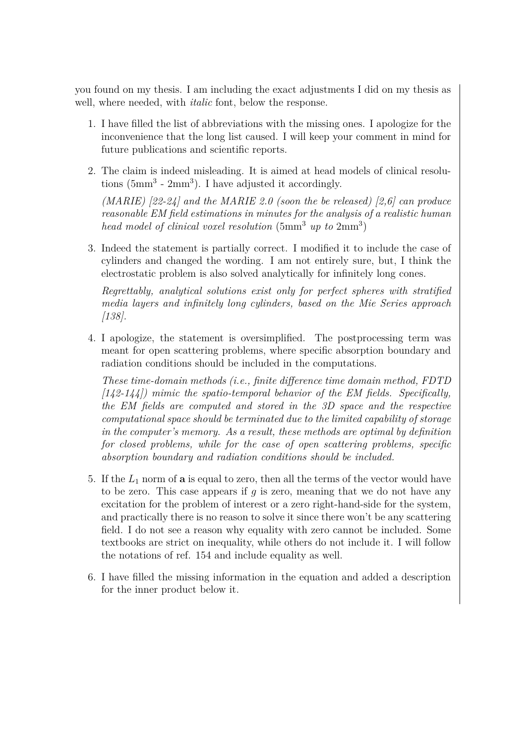you found on my thesis. I am including the exact adjustments I did on my thesis as well, where needed, with *italic* font, below the response.

- 1. I have filled the list of abbreviations with the missing ones. I apologize for the inconvenience that the long list caused. I will keep your comment in mind for future publications and scientific reports.
- 2. The claim is indeed misleading. It is aimed at head models of clinical resolutions (5mm<sup>3</sup> - 2mm<sup>3</sup> ). I have adjusted it accordingly. *(MARIE) [22-24] and the MARIE 2.0 (soon the be released) [2,6] can produce*

*reasonable EM field estimations in minutes for the analysis of a realistic human head model of clinical voxel resolution* (5mm<sup>3</sup> *up to* 2mm<sup>3</sup> )

3. Indeed the statement is partially correct. I modified it to include the case of cylinders and changed the wording. I am not entirely sure, but, I think the electrostatic problem is also solved analytically for infinitely long cones.

*Regrettably, analytical solutions exist only for perfect spheres with stratified media layers and infinitely long cylinders, based on the Mie Series approach [138].*

4. I apologize, the statement is oversimplified. The postprocessing term was meant for open scattering problems, where specific absorption boundary and radiation conditions should be included in the computations.

*These time-domain methods (i.e., finite difference time domain method, FDTD [142-144]) mimic the spatio-temporal behavior of the EM fields. Specifically, the EM fields are computed and stored in the 3D space and the respective computational space should be terminated due to the limited capability of storage in the computer's memory. As a result, these methods are optimal by definition for closed problems, while for the case of open scattering problems, specific absorption boundary and radiation conditions should be included.*

- 5. If the *L*<sup>1</sup> norm of **a** is equal to zero, then all the terms of the vector would have to be zero. This case appears if *g* is zero, meaning that we do not have any excitation for the problem of interest or a zero right-hand-side for the system, and practically there is no reason to solve it since there won't be any scattering field. I do not see a reason why equality with zero cannot be included. Some textbooks are strict on inequality, while others do not include it. I will follow the notations of ref. 154 and include equality as well.
- 6. I have filled the missing information in the equation and added a description for the inner product below it.